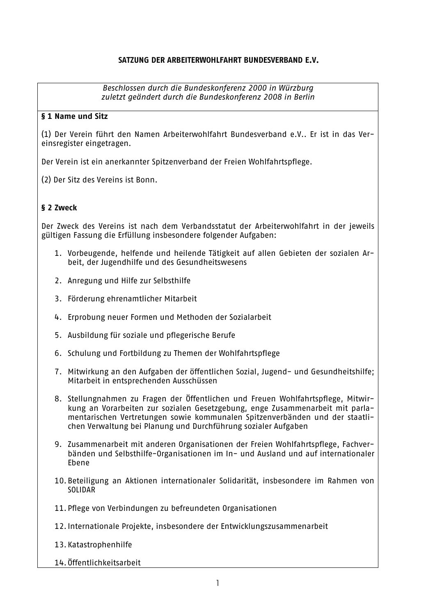#### SATZUNG DER ARBEITERWOHLFAHRT BUNDESVERBAND E.V.

Beschlossen durch die Bundeskonferenz 2000 in Würzburg zuletzt geändert durch die Bundeskonferenz 2008 in Berlin

#### § 1 Name und Sitz

(1) Der Verein führt den Namen Arbeiterwohlfahrt Bundesverband e.V.. Er ist in das Vereinsregister eingetragen.

Der Verein ist ein anerkannter Spitzenverband der Freien Wohlfahrtspflege.

(2) Der Sitz des Vereins ist Bonn.

#### § 2 7weck

Der Zweck des Vereins ist nach dem Verbandsstatut der Arbeiterwohlfahrt in der jeweils gültigen Fassung die Erfüllung insbesondere folgender Aufgaben:

- 1. Vorbeugende, helfende und heilende Tätigkeit auf allen Gebieten der sozialen Arbeit, der Jugendhilfe und des Gesundheitswesens
- 2. Anregung und Hilfe zur Selbsthilfe
- 3. Förderung ehrenamtlicher Mitarbeit
- 4. Erprobung neuer Formen und Methoden der Sozialarbeit
- 5. Ausbildung für soziale und pflegerische Berufe
- 6. Schulung und Fortbildung zu Themen der Wohlfahrtspflege
- 7. Mitwirkung an den Aufgaben der öffentlichen Sozial, Jugend- und Gesundheitshilfe; Mitarbeit in entsprechenden Ausschüssen
- 8. Stellungnahmen zu Fragen der Öffentlichen und Freuen Wohlfahrtspflege, Mitwirkung an Vorarbeiten zur sozialen Gesetzgebung, enge Zusammenarbeit mit parlamentarischen Vertretungen sowie kommunalen Spitzenverbänden und der staatlichen Verwaltung bei Planung und Durchführung sozialer Aufgaben
- 9. Zusammenarbeit mit anderen Organisationen der Freien Wohlfahrtspflege. Fachverbänden und Selbsthilfe-Organisationen im In- und Ausland und auf internationaler Ebene
- 10. Beteiligung an Aktionen internationaler Solidarität, insbesondere im Rahmen von SOLIDAR
- 11. Pflege von Verbindungen zu befreundeten Organisationen
- 12. Internationale Projekte, insbesondere der Entwicklungszusammenarbeit
- 13. Katastrophenhilfe
- 14. Öffentlichkeitsarbeit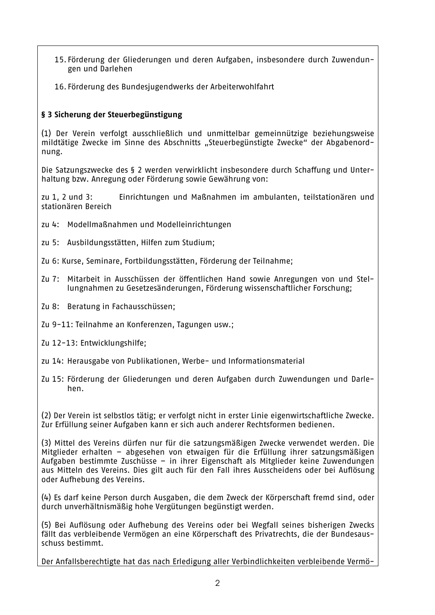- 15. Förderung der Gliederungen und deren Aufgaben, insbesondere durch Zuwendungen und Darlehen
- 16. Förderung des Bundesjugendwerks der Arbeiterwohlfahrt

## § 3 Sicherung der Steuerbegünstigung

(1) Der Verein verfolgt ausschließlich und unmittelbar gemeinnützige beziehungsweise mildtätige Zwecke im Sinne des Abschnitts "Steuerbegünstigte Zwecke" der Abgabenordnung.

Die Satzungszwecke des § 2 werden verwirklicht insbesondere durch Schaffung und Unterhaltung bzw. Anregung oder Förderung sowie Gewährung von:

zu 1. 2 und 3: Einrichtungen und Maßnahmen im ambulanten, teilstationären und stationären Bereich

- zu 4: Modellmaßnahmen und Modelleinrichtungen
- zu 5: Ausbildungsstätten, Hilfen zum Studium;
- Zu 6: Kurse, Seminare, Fortbildungsstätten, Förderung der Teilnahme;
- $7<sub>II</sub>$  7: Mitarbeit in Ausschüssen der öffentlichen Hand sowie Anregungen von und Stellungnahmen zu Gesetzesänderungen, Förderung wissenschaftlicher Forschung;
- Beratung in Fachausschüssen; Zu 8:
- Zu 9-11: Teilnahme an Konferenzen, Tagungen usw.;
- Zu 12-13: Entwicklungshilfe:
- zu 14: Herausgabe von Publikationen. Werbe- und Informationsmaterial
- Zu 15: Förderung der Gliederungen und deren Aufgaben durch Zuwendungen und Darlehen.

(2) Der Verein ist selbstlos tätig; er verfolgt nicht in erster Linie eigenwirtschaftliche Zwecke. Zur Erfüllung seiner Aufgaben kann er sich auch anderer Rechtsformen bedienen.

(3) Mittel des Vereins dürfen nur für die satzungsmäßigen Zwecke verwendet werden. Die Mitglieder erhalten – abgesehen von etwaigen für die Erfüllung ihrer satzungsmäßigen Aufgaben bestimmte Zuschüsse – in ihrer Eigenschaft als Mitglieder keine Zuwendungen aus Mitteln des Vereins. Dies gilt auch für den Fall ihres Ausscheidens oder bei Auflösung oder Aufhebung des Vereins.

(4) Es darf keine Person durch Ausgaben, die dem Zweck der Körperschaft fremd sind, oder durch unverhältnismäßig hohe Vergütungen begünstigt werden.

(5) Bei Auflösung oder Aufhebung des Vereins oder bei Wegfall seines bisherigen Zwecks fällt das verbleibende Vermögen an eine Körperschaft des Privatrechts, die der Bundesausschuss bestimmt.

Der Anfallsberechtigte hat das nach Erledigung aller Verbindlichkeiten verbleibende Vermö-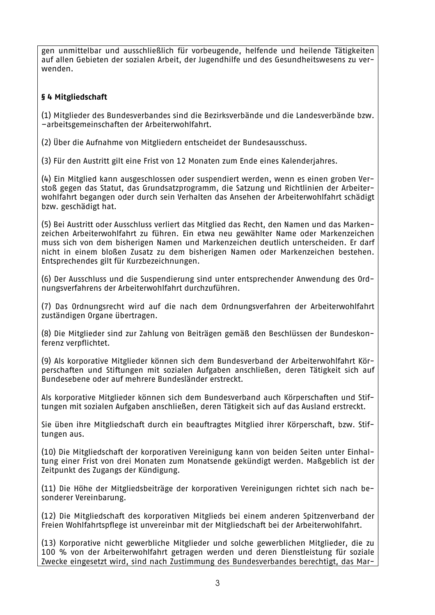gen unmittelbar und ausschließlich für vorbeugende, helfende und heilende Tätigkeiten auf allen Gebieten der sozialen Arbeit, der Jugendhilfe und des Gesundheitswesens zu verwenden.

## § 4 Mitgliedschaft

(1) Mitglieder des Bundesverbandes sind die Bezirksverbände und die Landesverbände bzw. -arbeitsgemeinschaften der Arbeiterwohlfahrt.

(2) Über die Aufnahme von Mitgliedern entscheidet der Bundesausschuss.

(3) Für den Austritt gilt eine Frist von 12 Monaten zum Ende eines Kalenderjahres.

(4) Ein Mitglied kann ausgeschlossen oder suspendiert werden, wenn es einen groben Verstoß gegen das Statut, das Grundsatzprogramm, die Satzung und Richtlinien der Arbeiterwohlfahrt begangen oder durch sein Verhalten das Ansehen der Arbeiterwohlfahrt schädigt bzw. geschädigt hat.

(5) Bei Austritt oder Ausschluss verliert das Mitglied das Recht, den Namen und das Markenzeichen Arbeiterwohlfahrt zu führen. Ein etwa neu gewählter Name oder Markenzeichen muss sich von dem bisherigen Namen und Markenzeichen deutlich unterscheiden. Er darf nicht in einem bloßen Zusatz zu dem bisherigen Namen oder Markenzeichen bestehen. Entsprechendes gilt für Kurzbezeichnungen.

(6) Der Ausschluss und die Suspendierung sind unter entsprechender Anwendung des Ordnungsverfahrens der Arbeiterwohlfahrt durchzuführen.

(7) Das Ordnungsrecht wird auf die nach dem Ordnungsverfahren der Arbeiterwohlfahrt zuständigen Organe übertragen.

(8) Die Mitglieder sind zur Zahlung von Beiträgen gemäß den Beschlüssen der Bundeskonferenz verpflichtet.

(9) Als korporative Mitglieder können sich dem Bundesverband der Arbeiterwohlfahrt Körperschaften und Stiftungen mit sozialen Aufgaben anschließen, deren Tätigkeit sich auf Bundesebene oder auf mehrere Bundesländer erstreckt.

Als korporative Mitglieder können sich dem Bundesverband auch Körperschaften und Stiftungen mit sozialen Aufgaben anschließen, deren Tätigkeit sich auf das Ausland erstreckt.

Sie üben ihre Mitgliedschaft durch ein beauftragtes Mitglied ihrer Körperschaft, bzw. Stiftungen aus.

(10) Die Mitgliedschaft der korporativen Vereinigung kann von beiden Seiten unter Einhaltung einer Frist von drei Monaten zum Monatsende gekündigt werden. Maßgeblich ist der Zeitpunkt des Zugangs der Kündigung.

(11) Die Höhe der Mitgliedsbeiträge der korporativen Vereinigungen richtet sich nach besonderer Vereinbarung.

(12) Die Mitgliedschaft des korporativen Mitglieds bei einem anderen Spitzenverband der Freien Wohlfahrtspflege ist unvereinbar mit der Mitgliedschaft bei der Arbeiterwohlfahrt.

(13) Korporative nicht gewerbliche Mitglieder und solche gewerblichen Mitglieder, die zu 100 % von der Arbeiterwohlfahrt getragen werden und deren Dienstleistung für soziale Zwecke eingesetzt wird, sind nach Zustimmung des Bundesverbandes berechtigt, das Mar-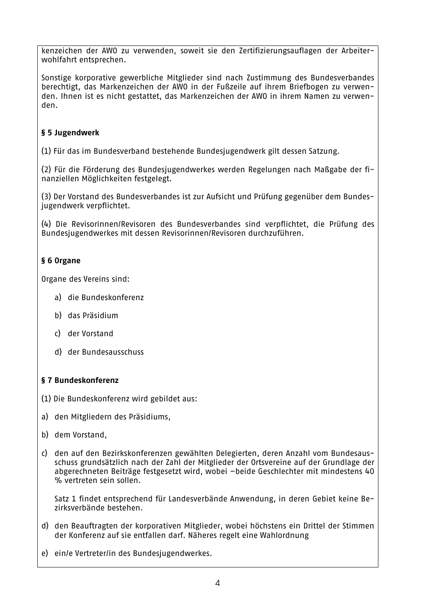kenzeichen der AWO zu verwenden, soweit sie den Zertifizierungsauflagen der Arbeiterwohlfahrt entsprechen.

Sonstige korporative gewerbliche Mitglieder sind nach Zustimmung des Bundesverbandes berechtigt, das Markenzeichen der AWO in der Fußzeile auf ihrem Briefbogen zu verwenden. Ihnen ist es nicht gestattet, das Markenzeichen der AWO in ihrem Namen zu verwenden.

## § 5 Jugendwerk

(1) Für das im Bundesverband bestehende Bundesjugendwerk gilt dessen Satzung.

(2) Für die Förderung des Bundesjugendwerkes werden Regelungen nach Maßgabe der finanziellen Möglichkeiten festgelegt.

(3) Der Vorstand des Bundesverbandes ist zur Aufsicht und Prüfung gegenüber dem Bundesjugendwerk verpflichtet.

(4) Die Revisorinnen/Revisoren des Bundesverbandes sind verpflichtet, die Prüfung des Bundesjugendwerkes mit dessen Revisorinnen/Revisoren durchzuführen.

# § 6 Organe

Organe des Vereins sind:

- a) die Bundeskonferenz
- b) das Präsidium
- c) der Vorstand
- d) der Bundesausschuss

## § 7 Bundeskonferenz

- (1) Die Bundeskonferenz wird gebildet aus:
- a) den Mitgliedern des Präsidiums,
- b) dem Vorstand.
- c) den auf den Bezirkskonferenzen gewählten Delegierten, deren Anzahl vom Bundesausschuss grundsätzlich nach der Zahl der Mitglieder der Ortsvereine auf der Grundlage der abgerechneten Beiträge festgesetzt wird, wobei -beide Geschlechter mit mindestens 40 % vertreten sein sollen.

Satz 1 findet entsprechend für Landesverbände Anwendung, in deren Gebiet keine Bezirksverbände bestehen.

- d) den Beauftragten der korporativen Mitglieder, wobei höchstens ein Drittel der Stimmen der Konferenz auf sie entfallen darf. Näheres regelt eine Wahlordnung
- e) ein/e Vertreter/in des Bundesiugendwerkes.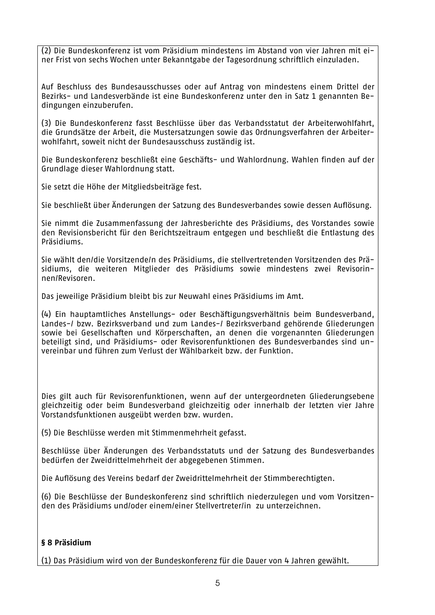(2) Die Bundeskonferenz ist vom Präsidium mindestens im Abstand von vier Jahren mit einer Frist von sechs Wochen unter Bekanntgabe der Tagesordnung schriftlich einzuladen.

Auf Beschluss des Bundesausschusses oder auf Antrag von mindestens einem Drittel der Bezirks- und Landesverbände ist eine Bundeskonferenz unter den in Satz 1 genannten Bedingungen einzuberufen.

(3) Die Bundeskonferenz fasst Beschlüsse über das Verbandsstatut der Arbeiterwohlfahrt. die Grundsätze der Arbeit, die Mustersatzungen sowie das Ordnungsverfahren der Arbeiterwohlfahrt, soweit nicht der Bundesausschuss zuständig ist.

Die Bundeskonferenz beschließt eine Geschäfts- und Wahlordnung. Wahlen finden auf der Grundlage dieser Wahlordnung statt.

Sie setzt die Höhe der Mitgliedsbeiträge fest.

Sie beschließt über Änderungen der Satzung des Bundesverbandes sowie dessen Auflösung.

Sie nimmt die Zusammenfassung der Jahresberichte des Präsidiums, des Vorstandes sowie den Revisionsbericht für den Berichtszeitraum entgegen und beschließt die Entlastung des Präsidiums.

Sie wählt den/die Vorsitzende/n des Präsidiums, die stellvertretenden Vorsitzenden des Präsidiums, die weiteren Mitglieder des Präsidiums sowie mindestens zwei Revisorinnen/Revisoren.

Das jeweilige Präsidium bleibt bis zur Neuwahl eines Präsidiums im Amt.

(4) Ein hauptamtliches Anstellungs- oder Beschäftigungsverhältnis beim Bundesverband, Landes-/ bzw. Bezirksverband und zum Landes-/ Bezirksverband gehörende Gliederungen sowie bei Gesellschaften und Körperschaften, an denen die vorgenannten Gliederungen beteiligt sind, und Präsidiums- oder Revisorenfunktionen des Bundesverbandes sind unvereinbar und führen zum Verlust der Wählbarkeit bzw. der Funktion.

Dies gilt auch für Revisorenfunktionen, wenn auf der untergeordneten Gliederungsebene gleichzeitig oder beim Bundesverband gleichzeitig oder innerhalb der letzten vier Jahre Vorstandsfunktionen ausgeübt werden bzw. wurden.

(5) Die Beschlüsse werden mit Stimmenmehrheit gefasst.

Beschlüsse über Änderungen des Verbandsstatuts und der Satzung des Bundesverbandes bedürfen der Zweidrittelmehrheit der abgegebenen Stimmen.

Die Auflösung des Vereins bedarf der Zweidrittelmehrheit der Stimmberechtigten.

(6) Die Beschlüsse der Bundeskonferenz sind schriftlich niederzulegen und vom Vorsitzenden des Präsidiums und/oder einem/einer Stellvertreter/in zu unterzeichnen.

### § 8 Präsidium

(1) Das Präsidium wird von der Bundeskonferenz für die Dauer von 4 Jahren gewählt.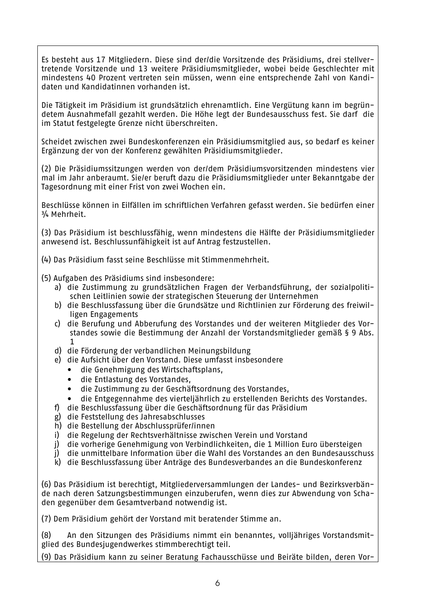Es besteht aus 17 Mitgliedern. Diese sind der/die Vorsitzende des Präsidiums, drei stellvertretende Vorsitzende und 13 weitere Präsidiumsmitglieder, wobei beide Geschlechter mit mindestens 40 Prozent vertreten sein müssen, wenn eine entsprechende Zahl von Kandidaten und Kandidatinnen vorhanden ist.

Die Tätigkeit im Präsidium ist grundsätzlich ehrenamtlich. Eine Vergütung kann im begründetem Ausnahmefall gezahlt werden. Die Höhe legt der Bundesausschuss fest. Sie darf die im Statut festgelegte Grenze nicht überschreiten.

Scheidet zwischen zwei Bundeskonferenzen ein Präsidiumsmitglied aus, so bedarf es keiner Ergänzung der von der Konferenz gewählten Präsidiumsmitglieder.

(2) Die Präsidiumssitzungen werden von der/dem Präsidiumsvorsitzenden mindestens vier mal im Jahr anberaumt. Sie/er beruft dazu die Präsidiumsmitglieder unter Bekanntgabe der Tagesordnung mit einer Frist von zwei Wochen ein.

Beschlüsse können in Eilfällen im schriftlichen Verfahren gefasst werden. Sie bedürfen einer 3/4 Mehrheit.

(3) Das Präsidium ist beschlussfähig, wenn mindestens die Hälfte der Präsidiumsmitglieder anwesend ist. Beschlussunfähigkeit ist auf Antrag festzustellen.

(4) Das Präsidium fasst seine Beschlüsse mit Stimmenmehrheit.

- (5) Aufgaben des Präsidiums sind insbesondere:
	- a) die Zustimmung zu grundsätzlichen Fragen der Verbandsführung, der sozialpolitischen Leitlinien sowie der strategischen Steuerung der Unternehmen
	- b) die Beschlussfassung über die Grundsätze und Richtlinien zur Förderung des freiwilligen Engagements
	- c) die Berufung und Abberufung des Vorstandes und der weiteren Mitglieder des Vorstandes sowie die Bestimmung der Anzahl der Vorstandsmitglieder gemäß § 9 Abs.  $\mathbf{1}$
	- d) die Förderung der verbandlichen Meinungsbildung
	- e) die Aufsicht über den Vorstand. Diese umfasst insbesondere
		- die Genehmigung des Wirtschaftsplans,
		- die Entlastung des Vorstandes,
		- die Zustimmung zu der Geschäftsordnung des Vorstandes.
		- die Entgegennahme des vierteljährlich zu erstellenden Berichts des Vorstandes.
	- f) die Beschlussfassung über die Geschäftsordnung für das Präsidium
	- g) die Feststellung des Jahresabschlusses
	- h) die Bestellung der Abschlussprüfer/innen
	- i) die Regelung der Rechtsverhältnisse zwischen Verein und Vorstand
	- i) die vorherige Genehmigung von Verbindlichkeiten, die 1 Million Euro übersteigen
	- j) die unmittelbare Information über die Wahl des Vorstandes an den Bundesausschuss
	- k) die Beschlussfassung über Anträge des Bundesverbandes an die Bundeskonferenz

(6) Das Präsidium ist berechtigt. Mitgliederversammlungen der Landes- und Bezirksverbände nach deren Satzungsbestimmungen einzuberufen, wenn dies zur Abwendung von Schaden gegenüber dem Gesamtverband notwendig ist.

(7) Dem Präsidium gehört der Vorstand mit beratender Stimme an.

An den Sitzungen des Präsidiums nimmt ein benanntes, volljähriges Vorstandsmit-(R) glied des Bundesjugendwerkes stimmberechtigt teil.

(9) Das Präsidium kann zu seiner Beratung Fachausschüsse und Beiräte bilden, deren Vor-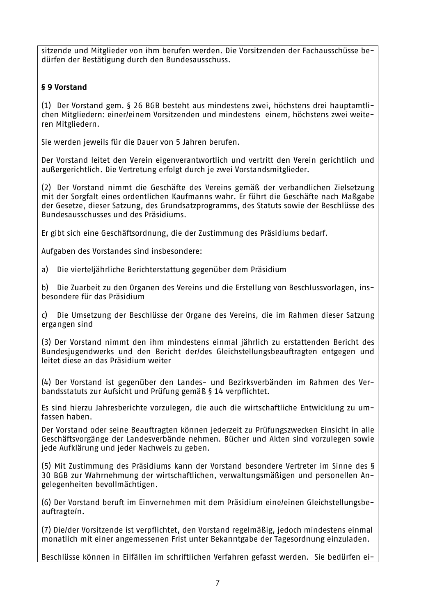sitzende und Mitglieder von ihm berufen werden. Die Vorsitzenden der Fachausschüsse bedürfen der Bestätigung durch den Bundesausschuss.

# § 9 Vorstand

(1) Der Vorstand gem. § 26 BGB besteht aus mindestens zwei, höchstens drei hauptamtlichen Mitgliedern: einer/einem Vorsitzenden und mindestens einem, höchstens zwei weiteren Mitgliedern.

Sie werden jeweils für die Dauer von 5 Jahren berufen.

Der Vorstand leitet den Verein eigenverantwortlich und vertritt den Verein gerichtlich und außergerichtlich. Die Vertretung erfolgt durch je zwei Vorstandsmitglieder.

(2) Der Vorstand nimmt die Geschäfte des Vereins gemäß der verbandlichen Zielsetzung mit der Sorgfalt eines ordentlichen Kaufmanns wahr. Er führt die Geschäfte nach Maßgabe der Gesetze, dieser Satzung, des Grundsatzprogramms, des Statuts sowie der Beschlüsse des Bundesausschusses und des Präsidiums.

Er gibt sich eine Geschäftsordnung, die der Zustimmung des Präsidiums bedarf.

Aufgaben des Vorstandes sind insbesondere:

a) Die vierteljährliche Berichterstattung gegenüber dem Präsidium

b) Die Zuarbeit zu den Organen des Vereins und die Erstellung von Beschlussvorlagen, insbesondere für das Präsidium

c) Die Umsetzung der Beschlüsse der Organe des Vereins, die im Rahmen dieser Satzung ergangen sind

(3) Der Vorstand nimmt den ihm mindestens einmal jährlich zu erstattenden Bericht des Bundesjugendwerks und den Bericht der/des Gleichstellungsbeauftragten entgegen und leitet diese an das Präsidium weiter

(4) Der Vorstand ist gegenüber den Landes- und Bezirksverbänden im Rahmen des Verbandsstatuts zur Aufsicht und Prüfung gemäß § 14 verpflichtet.

Es sind hierzu Jahresberichte vorzulegen, die auch die wirtschaftliche Entwicklung zu umfassen haben.

Der Vorstand oder seine Beauftragten können jederzeit zu Prüfungszwecken Einsicht in alle Geschäftsvorgänge der Landesverbände nehmen. Bücher und Akten sind vorzulegen sowie jede Aufklärung und jeder Nachweis zu geben.

(5) Mit Zustimmung des Präsidiums kann der Vorstand besondere Vertreter im Sinne des § 30 BGB zur Wahrnehmung der wirtschaftlichen, verwaltungsmäßigen und personellen Angelegenheiten bevollmächtigen.

(6) Der Vorstand beruft im Einvernehmen mit dem Präsidium eine/einen Gleichstellungsbeauftragte/n.

(7) Die/der Vorsitzende ist verpflichtet, den Vorstand regelmäßig, jedoch mindestens einmal monatlich mit einer angemessenen Frist unter Bekanntgabe der Tagesordnung einzuladen.

Beschlüsse können in Eilfällen im schriftlichen Verfahren gefasst werden. Sie bedürfen ei-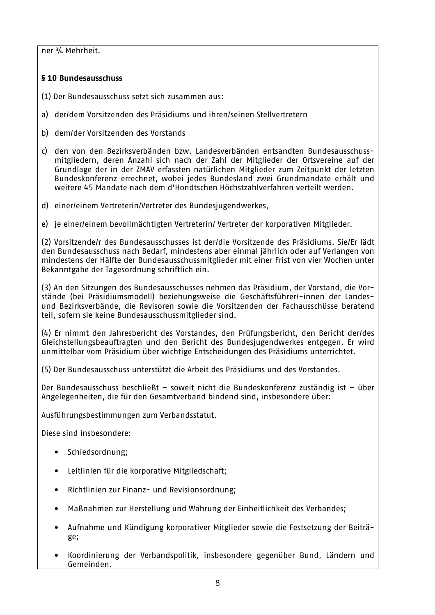ner 3/4 Mehrheit.

### § 10 Bundesausschuss

- (1) Der Bundesausschuss setzt sich zusammen aus:
- a) der/dem Vorsitzenden des Präsidiums und ihren/seinen Stellvertretern
- b) dem/der Vorsitzenden des Vorstands
- c) den von den Bezirksverbänden bzw. Landesverbänden entsandten Bundesausschussmitgliedern, deren Anzahl sich nach der Zahl der Mitglieder der Ortsvereine auf der Grundlage der in der ZMAV erfassten natürlichen Mitglieder zum Zeitpunkt der letzten Bundeskonferenz errechnet, wobei jedes Bundesland zwei Grundmandate erhält und weitere 45 Mandate nach dem d'Hondtschen Höchstzahlverfahren verteilt werden.
- d) einer/einem Vertreterin/Vertreter des Bundesjugendwerkes,
- e) je einer/einem bevollmächtigten Vertreterin/ Vertreter der korporativen Mitglieder.

(2) Vorsitzende/r des Bundesausschusses ist der/die Vorsitzende des Präsidiums, Sie/Er lädt den Bundesausschuss nach Bedarf, mindestens aber einmal jährlich oder auf Verlangen von mindestens der Hälfte der Bundesausschussmitglieder mit einer Frist von vier Wochen unter Bekanntgabe der Tagesordnung schriftlich ein.

(3) An den Sitzungen des Bundesausschusses nehmen das Präsidium, der Vorstand, die Vorstände (bei Präsidiumsmodell) beziehungsweise die Geschäftsführer/-innen der Landesund Bezirksverbände, die Revisoren sowie die Vorsitzenden der Fachausschüsse beratend teil, sofern sie keine Bundesausschussmitglieder sind.

(4) Er nimmt den Jahresbericht des Vorstandes, den Prüfungsbericht, den Bericht der/des Gleichstellungsbeauftragten und den Bericht des Bundesjugendwerkes entgegen. Er wird unmittelbar vom Präsidium über wichtige Entscheidungen des Präsidiums unterrichtet.

(5) Der Bundesausschuss unterstützt die Arbeit des Präsidiums und des Vorstandes.

Der Bundesausschuss beschließt - soweit nicht die Bundeskonferenz zuständig ist - über Angelegenheiten, die für den Gesamtverband bindend sind, insbesondere über:

Ausführungsbestimmungen zum Verbandsstatut.

Diese sind insbesondere:

- Schiedsordnung;
- Leitlinien für die korporative Mitgliedschaft;
- $\bullet$ Richtlinien zur Finanz- und Revisionsordnung;
- Maßnahmen zur Herstellung und Wahrung der Einheitlichkeit des Verbandes;  $\bullet$
- Aufnahme und Kündigung korporativer Mitglieder sowie die Festsetzung der Beiträ- $\bullet$ ge;
- Koordinierung der Verbandspolitik, insbesondere gegenüber Bund, Ländern und Gemeinden.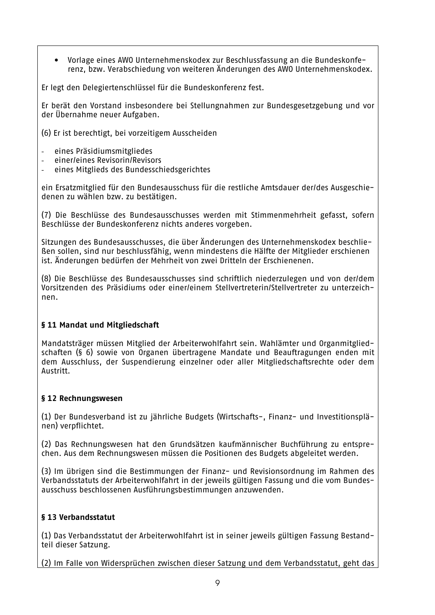Vorlage eines AWO Unternehmenskodex zur Beschlussfassung an die Bundeskonfe- $\bullet$ renz, bzw. Verabschiedung von weiteren Änderungen des AWO Unternehmenskodex.

Er legt den Delegiertenschlüssel für die Bundeskonferenz fest.

Er berät den Vorstand insbesondere bei Stellungnahmen zur Bundesgesetzgebung und vor der Übernahme neuer Aufgaben.

(6) Er ist berechtigt, bei vorzeitigem Ausscheiden

- eines Präsidiumsmitgliedes
- einer/eines Revisorin/Revisors
- eines Mitglieds des Bundesschiedsgerichtes

ein Ersatzmitglied für den Bundesausschuss für die restliche Amtsdauer der/des Ausgeschiedenen zu wählen bzw. zu bestätigen.

(7) Die Beschlüsse des Bundesausschusses werden mit Stimmenmehrheit gefasst, sofern Beschlüsse der Bundeskonferenz nichts anderes vorgeben.

Sitzungen des Bundesausschusses, die über Änderungen des Unternehmenskodex beschließen sollen, sind nur beschlussfähig, wenn mindestens die Hälfte der Mitglieder erschienen ist. Änderungen bedürfen der Mehrheit von zwei Dritteln der Erschienenen.

(8) Die Beschlüsse des Bundesausschusses sind schriftlich niederzulegen und von der/dem Vorsitzenden des Präsidiums oder einer/einem Stellvertreterin/Stellvertreter zu unterzeichnen.

### § 11 Mandat und Mitgliedschaft

Mandatsträger müssen Mitglied der Arbeiterwohlfahrt sein. Wahlämter und Organmitgliedschaften (§ 6) sowie von Organen übertragene Mandate und Beauftragungen enden mit dem Ausschluss, der Suspendierung einzelner oder aller Mitgliedschaftsrechte oder dem Austritt.

### § 12 Rechnungswesen

(1) Der Bundesverband ist zu jährliche Budgets (Wirtschafts-, Finanz- und Investitionsplänen) verpflichtet.

(2) Das Rechnungswesen hat den Grundsätzen kaufmännischer Buchführung zu entsprechen. Aus dem Rechnungswesen müssen die Positionen des Budgets abgeleitet werden.

(3) Im übrigen sind die Bestimmungen der Finanz- und Revisionsordnung im Rahmen des Verbandsstatuts der Arbeiterwohlfahrt in der jeweils gültigen Fassung und die vom Bundesausschuss beschlossenen Ausführungsbestimmungen anzuwenden.

### § 13 Verbandsstatut

(1) Das Verbandsstatut der Arbeiterwohlfahrt ist in seiner ieweils gültigen Fassung Bestandteil dieser Satzung.

(2) Im Falle von Widersprüchen zwischen dieser Satzung und dem Verbandsstatut, geht das